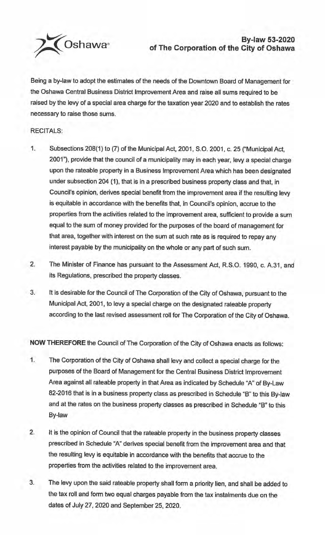

## **By-law 53-2020 of The Corporation of the City of Oshawa**

Being a by-law to adopt the estimates of the needs of the Downtown Board of Management for the Oshawa Central Business District Improvement Area and raise all sums required to be raised by the levy of a special area charge for the taxation year 2020 and to establish the rates necessary to raise those sums.

## RECITALS:

- 1. Subsections 208(1) to (7) of the Municipal Act, 2001, S.O. 2001, c. 25 ("Municipal Act, 2001"), provide that the council of a municipality may in each year, levy a special charge upon the rateable property in a Business Improvement Area which has been designated under subsection 204 (1), that is in a prescribed business property class and that, in Council's opinion, derives special benefit from the improvement area if the resulting levy is equitable in accordance with the benefits that, in Council's opinion, accrue to the properties from the activities related to the improvement area, sufficient to provide a sum equal to the sum of money provided for the purposes of the board of management for that area, together with interest on the sum at such rate as is required to repay any interest payable by the municipality on the whole or any part of such sum.
- 2. The Minister of Finance has pursuant to the Assessment Act, R.S.O. 1990, c. A.31, and its Regulations, prescribed the property classes.
- 3. It is desirable for the Council of The Corporation of the City of Oshawa, pursuant to the Municipal Act, 2001, to levy a special charge on the designated rateable property according to the last revised assessment roll for The Corporation of the City of Oshawa.

**NOW THEREFORE** the Council of The Corporation of the City of Oshawa enacts as follows:

- 1. The Corporation of the City of Oshawa shall levy and collect a special charge for the purposes of the Board of Management for the Central Business District Improvement Area against all rateable property in that Area as indicated by Schedule "A" of By-Law 82-2016 that is in a business property class as prescribed in Schedule "B" to this By-law and at the rates on the business property classes as prescribed in Schedule "B" to this By-law
- 2. It is the opinion of Council that the rateable property in the business property classes prescribed in Schedule "A" derives special benefit from the improvement area and that the resulting levy is equitable in accordance with the benefits that accrue to the properties from the activities related to the improvement area.
- 3. The levy upon the said rateable property shall form a priority lien, and shall be added to the tax roll and form two equal charges payable from the tax instalments due on the dates of July 27, 2020 and September 25, 2020.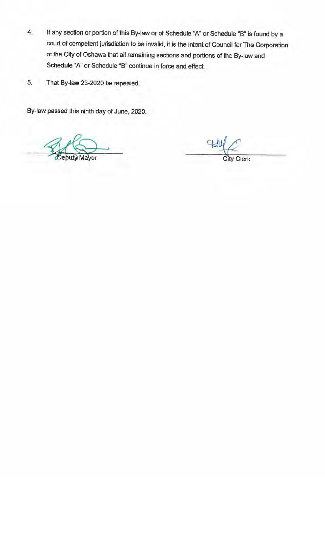- **4.** If any section or portion of this By-law or of Schedule "A" or Schedule "B" is found by a court of competent jurisdiction to be invalid, it is the intent of Council for The Corporation of the City of Oshawa that all remaining sections and portions of the By-law and Schedule "A" or Schedule "B" continue in force and effect.
- 5. That By-law 23-2020 be repealed.

By-law passed this ninth day of June, 2020.

Mayor

City Clerk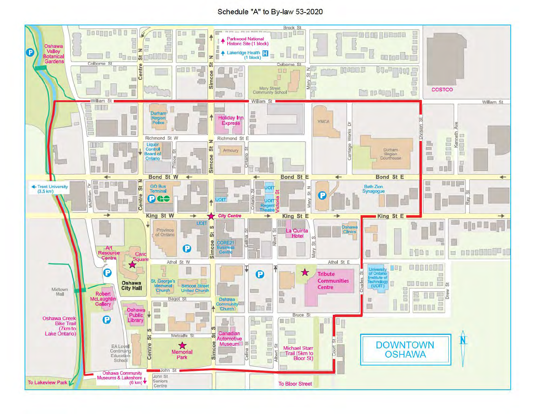## Schedule "A" to By-law 53-2020